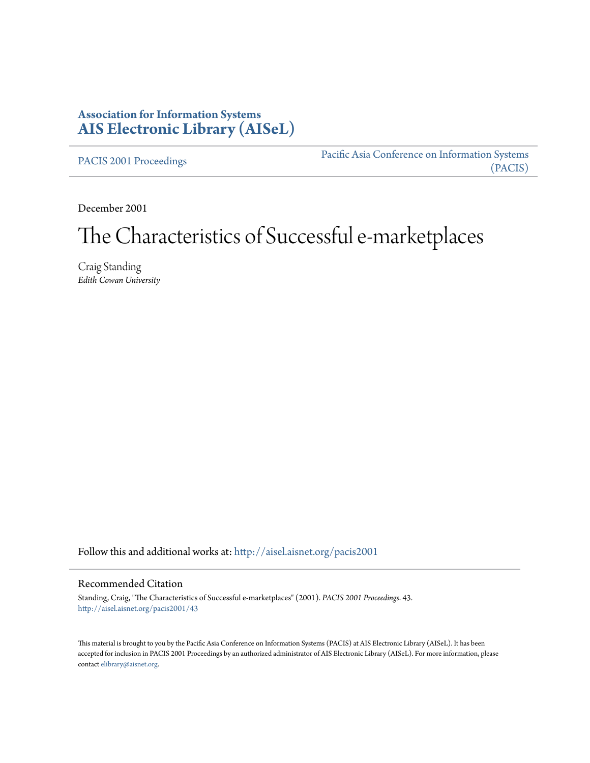## **Association for Information Systems [AIS Electronic Library \(AISeL\)](http://aisel.aisnet.org?utm_source=aisel.aisnet.org%2Fpacis2001%2F43&utm_medium=PDF&utm_campaign=PDFCoverPages)**

[PACIS 2001 Proceedings](http://aisel.aisnet.org/pacis2001?utm_source=aisel.aisnet.org%2Fpacis2001%2F43&utm_medium=PDF&utm_campaign=PDFCoverPages)

[Pacific Asia Conference on Information Systems](http://aisel.aisnet.org/pacis?utm_source=aisel.aisnet.org%2Fpacis2001%2F43&utm_medium=PDF&utm_campaign=PDFCoverPages) [\(PACIS\)](http://aisel.aisnet.org/pacis?utm_source=aisel.aisnet.org%2Fpacis2001%2F43&utm_medium=PDF&utm_campaign=PDFCoverPages)

December 2001

# The Characteristics of Successful e-marketplaces

Craig Standing *Edith Cowan University*

Follow this and additional works at: [http://aisel.aisnet.org/pacis2001](http://aisel.aisnet.org/pacis2001?utm_source=aisel.aisnet.org%2Fpacis2001%2F43&utm_medium=PDF&utm_campaign=PDFCoverPages)

#### Recommended Citation

Standing, Craig, "The Characteristics of Successful e-marketplaces" (2001). *PACIS 2001 Proceedings*. 43. [http://aisel.aisnet.org/pacis2001/43](http://aisel.aisnet.org/pacis2001/43?utm_source=aisel.aisnet.org%2Fpacis2001%2F43&utm_medium=PDF&utm_campaign=PDFCoverPages)

This material is brought to you by the Pacific Asia Conference on Information Systems (PACIS) at AIS Electronic Library (AISeL). It has been accepted for inclusion in PACIS 2001 Proceedings by an authorized administrator of AIS Electronic Library (AISeL). For more information, please contact [elibrary@aisnet.org.](mailto:elibrary@aisnet.org%3E)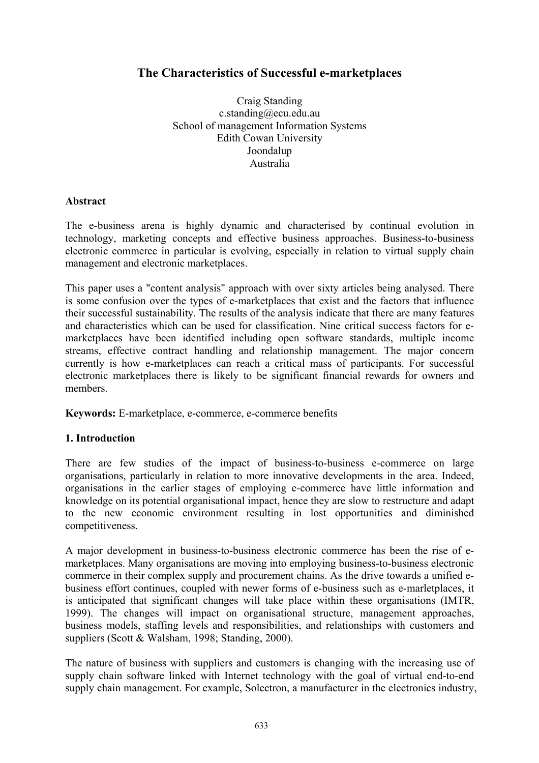## **The Characteristics of Successful e-marketplaces**

Craig Standing c.standing@ecu.edu.au School of management Information Systems Edith Cowan University Joondalup Australia

#### **Abstract**

The e-business arena is highly dynamic and characterised by continual evolution in technology, marketing concepts and effective business approaches. Business-to-business electronic commerce in particular is evolving, especially in relation to virtual supply chain management and electronic marketplaces.

This paper uses a "content analysis" approach with over sixty articles being analysed. There is some confusion over the types of e-marketplaces that exist and the factors that influence their successful sustainability. The results of the analysis indicate that there are many features and characteristics which can be used for classification. Nine critical success factors for emarketplaces have been identified including open software standards, multiple income streams, effective contract handling and relationship management. The major concern currently is how e-marketplaces can reach a critical mass of participants. For successful electronic marketplaces there is likely to be significant financial rewards for owners and members.

**Keywords:** E-marketplace, e-commerce, e-commerce benefits

## **1. Introduction**

There are few studies of the impact of business-to-business e-commerce on large organisations, particularly in relation to more innovative developments in the area. Indeed, organisations in the earlier stages of employing e-commerce have little information and knowledge on its potential organisational impact, hence they are slow to restructure and adapt to the new economic environment resulting in lost opportunities and diminished competitiveness.

A major development in business-to-business electronic commerce has been the rise of emarketplaces. Many organisations are moving into employing business-to-business electronic commerce in their complex supply and procurement chains. As the drive towards a unified ebusiness effort continues, coupled with newer forms of e-business such as e-marletplaces, it is anticipated that significant changes will take place within these organisations (IMTR, 1999). The changes will impact on organisational structure, management approaches, business models, staffing levels and responsibilities, and relationships with customers and suppliers (Scott & Walsham, 1998; Standing, 2000).

The nature of business with suppliers and customers is changing with the increasing use of supply chain software linked with Internet technology with the goal of virtual end-to-end supply chain management. For example, Solectron, a manufacturer in the electronics industry,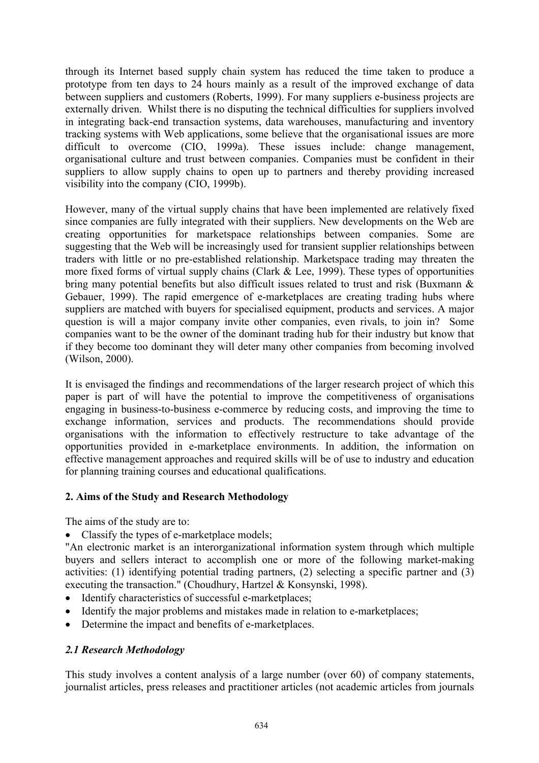through its Internet based supply chain system has reduced the time taken to produce a prototype from ten days to 24 hours mainly as a result of the improved exchange of data between suppliers and customers (Roberts, 1999). For many suppliers e-business projects are externally driven. Whilst there is no disputing the technical difficulties for suppliers involved in integrating back-end transaction systems, data warehouses, manufacturing and inventory tracking systems with Web applications, some believe that the organisational issues are more difficult to overcome (CIO, 1999a). These issues include: change management, organisational culture and trust between companies. Companies must be confident in their suppliers to allow supply chains to open up to partners and thereby providing increased visibility into the company (CIO, 1999b).

However, many of the virtual supply chains that have been implemented are relatively fixed since companies are fully integrated with their suppliers. New developments on the Web are creating opportunities for marketspace relationships between companies. Some are suggesting that the Web will be increasingly used for transient supplier relationships between traders with little or no pre-established relationship. Marketspace trading may threaten the more fixed forms of virtual supply chains (Clark  $\&$  Lee, 1999). These types of opportunities bring many potential benefits but also difficult issues related to trust and risk (Buxmann & Gebauer, 1999). The rapid emergence of e-marketplaces are creating trading hubs where suppliers are matched with buyers for specialised equipment, products and services. A major question is will a major company invite other companies, even rivals, to join in? Some companies want to be the owner of the dominant trading hub for their industry but know that if they become too dominant they will deter many other companies from becoming involved (Wilson, 2000).

It is envisaged the findings and recommendations of the larger research project of which this paper is part of will have the potential to improve the competitiveness of organisations engaging in business-to-business e-commerce by reducing costs, and improving the time to exchange information, services and products. The recommendations should provide organisations with the information to effectively restructure to take advantage of the opportunities provided in e-marketplace environments. In addition, the information on effective management approaches and required skills will be of use to industry and education for planning training courses and educational qualifications.

## **2. Aims of the Study and Research Methodology**

The aims of the study are to:

• Classify the types of e-marketplace models;

"An electronic market is an interorganizational information system through which multiple buyers and sellers interact to accomplish one or more of the following market-making activities: (1) identifying potential trading partners, (2) selecting a specific partner and (3) executing the transaction." (Choudhury, Hartzel & Konsynski, 1998).

- Identify characteristics of successful e-marketplaces;
- Identify the major problems and mistakes made in relation to e-marketplaces;
- Determine the impact and benefits of e-marketplaces.

#### *2.1 Research Methodology*

This study involves a content analysis of a large number (over 60) of company statements, journalist articles, press releases and practitioner articles (not academic articles from journals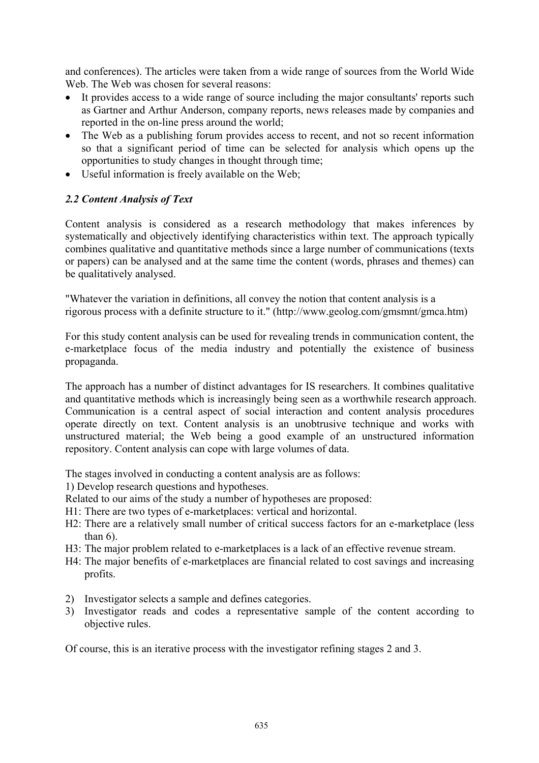and conferences). The articles were taken from a wide range of sources from the World Wide Web. The Web was chosen for several reasons:

- It provides access to a wide range of source including the major consultants' reports such as Gartner and Arthur Anderson, company reports, news releases made by companies and reported in the on-line press around the world;
- The Web as a publishing forum provides access to recent, and not so recent information so that a significant period of time can be selected for analysis which opens up the opportunities to study changes in thought through time;
- Useful information is freely available on the Web;

## *2.2 Content Analysis of Text*

Content analysis is considered as a research methodology that makes inferences by systematically and objectively identifying characteristics within text. The approach typically combines qualitative and quantitative methods since a large number of communications (texts or papers) can be analysed and at the same time the content (words, phrases and themes) can be qualitatively analysed.

"Whatever the variation in definitions, all convey the notion that content analysis is a rigorous process with a definite structure to it." (http://www.geolog.com/gmsmnt/gmca.htm)

For this study content analysis can be used for revealing trends in communication content, the e-marketplace focus of the media industry and potentially the existence of business propaganda.

The approach has a number of distinct advantages for IS researchers. It combines qualitative and quantitative methods which is increasingly being seen as a worthwhile research approach. Communication is a central aspect of social interaction and content analysis procedures operate directly on text. Content analysis is an unobtrusive technique and works with unstructured material; the Web being a good example of an unstructured information repository. Content analysis can cope with large volumes of data.

The stages involved in conducting a content analysis are as follows:

1) Develop research questions and hypotheses.

Related to our aims of the study a number of hypotheses are proposed:

- H1: There are two types of e-marketplaces: vertical and horizontal.
- H2: There are a relatively small number of critical success factors for an e-marketplace (less than  $6$ ).
- H3: The major problem related to e-marketplaces is a lack of an effective revenue stream.
- H4: The major benefits of e-marketplaces are financial related to cost savings and increasing profits.
- 2) Investigator selects a sample and defines categories.
- 3) Investigator reads and codes a representative sample of the content according to objective rules.

Of course, this is an iterative process with the investigator refining stages 2 and 3.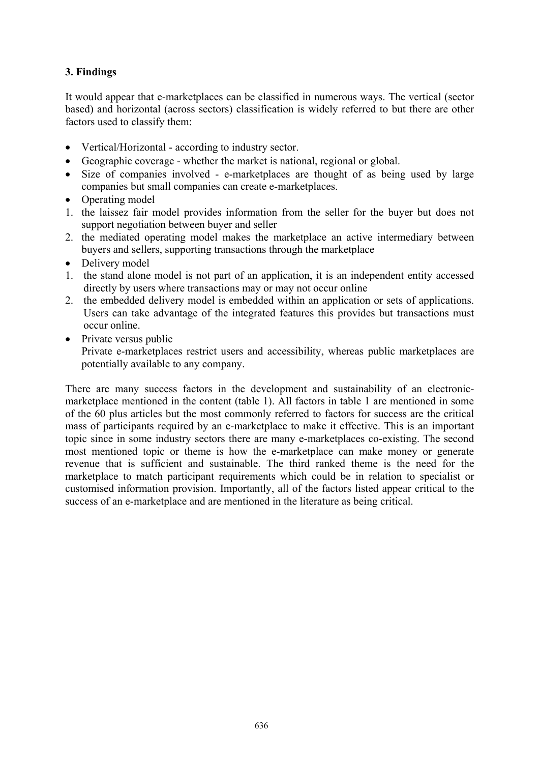## **3. Findings**

It would appear that e-marketplaces can be classified in numerous ways. The vertical (sector based) and horizontal (across sectors) classification is widely referred to but there are other factors used to classify them:

- Vertical/Horizontal according to industry sector.
- Geographic coverage whether the market is national, regional or global.
- Size of companies involved e-marketplaces are thought of as being used by large companies but small companies can create e-marketplaces.
- Operating model
- 1. the laissez fair model provides information from the seller for the buyer but does not support negotiation between buyer and seller
- 2. the mediated operating model makes the marketplace an active intermediary between buyers and sellers, supporting transactions through the marketplace
- Delivery model
- 1. the stand alone model is not part of an application, it is an independent entity accessed directly by users where transactions may or may not occur online
- 2. the embedded delivery model is embedded within an application or sets of applications. Users can take advantage of the integrated features this provides but transactions must occur online.
- Private versus public Private e-marketplaces restrict users and accessibility, whereas public marketplaces are potentially available to any company.

There are many success factors in the development and sustainability of an electronicmarketplace mentioned in the content (table 1). All factors in table 1 are mentioned in some of the 60 plus articles but the most commonly referred to factors for success are the critical mass of participants required by an e-marketplace to make it effective. This is an important topic since in some industry sectors there are many e-marketplaces co-existing. The second most mentioned topic or theme is how the e-marketplace can make money or generate revenue that is sufficient and sustainable. The third ranked theme is the need for the marketplace to match participant requirements which could be in relation to specialist or customised information provision. Importantly, all of the factors listed appear critical to the success of an e-marketplace and are mentioned in the literature as being critical.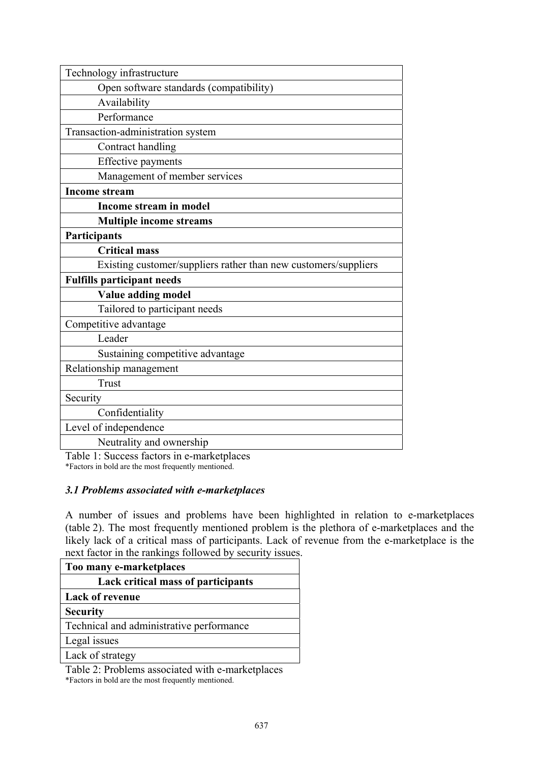| Technology infrastructure                                       |
|-----------------------------------------------------------------|
| Open software standards (compatibility)                         |
| Availability                                                    |
| Performance                                                     |
| Transaction-administration system                               |
| Contract handling                                               |
| <b>Effective payments</b>                                       |
| Management of member services                                   |
| <b>Income stream</b>                                            |
| Income stream in model                                          |
| <b>Multiple income streams</b>                                  |
| <b>Participants</b>                                             |
| <b>Critical mass</b>                                            |
| Existing customer/suppliers rather than new customers/suppliers |
| <b>Fulfills participant needs</b>                               |
| Value adding model                                              |
| Tailored to participant needs                                   |
| Competitive advantage                                           |
| Leader                                                          |
| Sustaining competitive advantage                                |
| Relationship management                                         |
| <b>Trust</b>                                                    |
| Security                                                        |
| Confidentiality                                                 |
| Level of independence                                           |
| Neutrality and ownership                                        |

Table 1: Success factors in e-marketplaces \*Factors in bold are the most frequently mentioned.

## *3.1 Problems associated with e-marketplaces*

A number of issues and problems have been highlighted in relation to e-marketplaces (table 2). The most frequently mentioned problem is the plethora of e-marketplaces and the likely lack of a critical mass of participants. Lack of revenue from the e-marketplace is the next factor in the rankings followed by security issues.

| Too many e-marketplaces                   |
|-------------------------------------------|
| <b>Lack critical mass of participants</b> |
| <b>Lack of revenue</b>                    |
| <b>Security</b>                           |
| Technical and administrative performance  |
| Legal issues                              |
| Lack of strategy                          |
|                                           |

Table 2: Problems associated with e-marketplaces \*Factors in bold are the most frequently mentioned.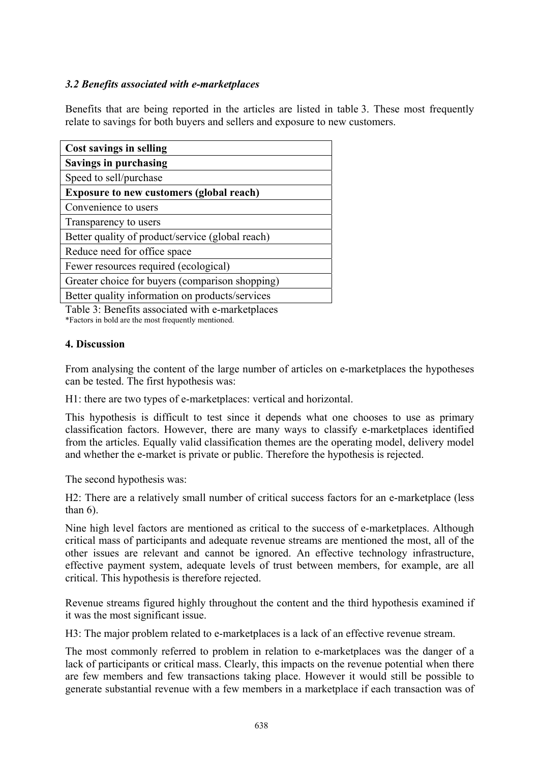## *3.2 Benefits associated with e-marketplaces*

Benefits that are being reported in the articles are listed in table 3. These most frequently relate to savings for both buyers and sellers and exposure to new customers.

| <b>Cost savings in selling</b>                   |
|--------------------------------------------------|
| <b>Savings in purchasing</b>                     |
| Speed to sell/purchase                           |
| <b>Exposure to new customers (global reach)</b>  |
| Convenience to users                             |
| Transparency to users                            |
| Better quality of product/service (global reach) |
| Reduce need for office space                     |
| Fewer resources required (ecological)            |
| Greater choice for buyers (comparison shopping)  |
| Better quality information on products/services  |

Table 3: Benefits associated with e-marketplaces \*Factors in bold are the most frequently mentioned.

## **4. Discussion**

From analysing the content of the large number of articles on e-marketplaces the hypotheses can be tested. The first hypothesis was:

H1: there are two types of e-marketplaces: vertical and horizontal.

This hypothesis is difficult to test since it depends what one chooses to use as primary classification factors. However, there are many ways to classify e-marketplaces identified from the articles. Equally valid classification themes are the operating model, delivery model and whether the e-market is private or public. Therefore the hypothesis is rejected.

The second hypothesis was:

H2: There are a relatively small number of critical success factors for an e-marketplace (less than  $6$ ).

Nine high level factors are mentioned as critical to the success of e-marketplaces. Although critical mass of participants and adequate revenue streams are mentioned the most, all of the other issues are relevant and cannot be ignored. An effective technology infrastructure, effective payment system, adequate levels of trust between members, for example, are all critical. This hypothesis is therefore rejected.

Revenue streams figured highly throughout the content and the third hypothesis examined if it was the most significant issue.

H3: The major problem related to e-marketplaces is a lack of an effective revenue stream.

The most commonly referred to problem in relation to e-marketplaces was the danger of a lack of participants or critical mass. Clearly, this impacts on the revenue potential when there are few members and few transactions taking place. However it would still be possible to generate substantial revenue with a few members in a marketplace if each transaction was of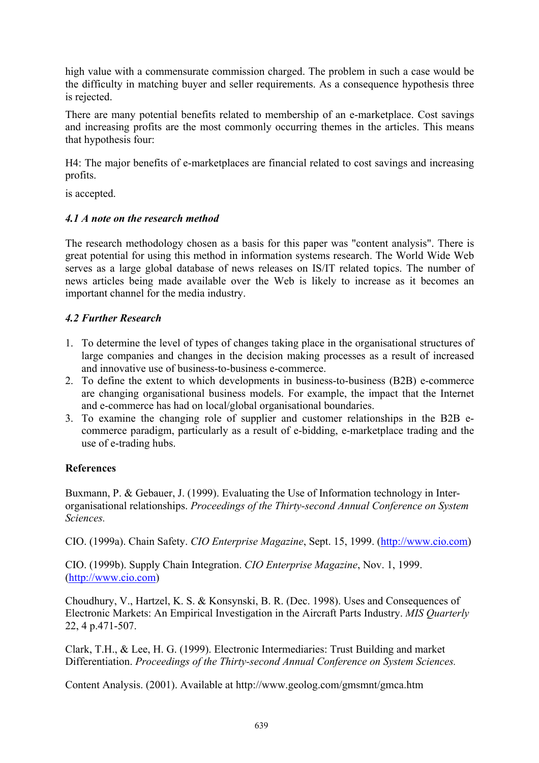high value with a commensurate commission charged. The problem in such a case would be the difficulty in matching buyer and seller requirements. As a consequence hypothesis three is rejected.

There are many potential benefits related to membership of an e-marketplace. Cost savings and increasing profits are the most commonly occurring themes in the articles. This means that hypothesis four:

H4: The major benefits of e-marketplaces are financial related to cost savings and increasing profits.

is accepted.

## *4.1 A note on the research method*

The research methodology chosen as a basis for this paper was "content analysis". There is great potential for using this method in information systems research. The World Wide Web serves as a large global database of news releases on IS/IT related topics. The number of news articles being made available over the Web is likely to increase as it becomes an important channel for the media industry.

## *4.2 Further Research*

- 1. To determine the level of types of changes taking place in the organisational structures of large companies and changes in the decision making processes as a result of increased and innovative use of business-to-business e-commerce.
- 2. To define the extent to which developments in business-to-business (B2B) e-commerce are changing organisational business models. For example, the impact that the Internet and e-commerce has had on local/global organisational boundaries.
- 3. To examine the changing role of supplier and customer relationships in the B2B ecommerce paradigm, particularly as a result of e-bidding, e-marketplace trading and the use of e-trading hubs.

#### **References**

Buxmann, P. & Gebauer, J. (1999). Evaluating the Use of Information technology in Interorganisational relationships. *Proceedings of the Thirty-second Annual Conference on System Sciences.*

CIO. (1999a). Chain Safety. *CIO Enterprise Magazine*, Sept. 15, 1999. (http://www.cio.com)

CIO. (1999b). Supply Chain Integration. *CIO Enterprise Magazine*, Nov. 1, 1999. (http://www.cio.com)

Choudhury, V., Hartzel, K. S. & Konsynski, B. R. (Dec. 1998). Uses and Consequences of Electronic Markets: An Empirical Investigation in the Aircraft Parts Industry. *MIS Quarterly* 22, 4 p.471-507.

Clark, T.H., & Lee, H. G. (1999). Electronic Intermediaries: Trust Building and market Differentiation. *Proceedings of the Thirty-second Annual Conference on System Sciences.* 

Content Analysis. (2001). Available at http://www.geolog.com/gmsmnt/gmca.htm